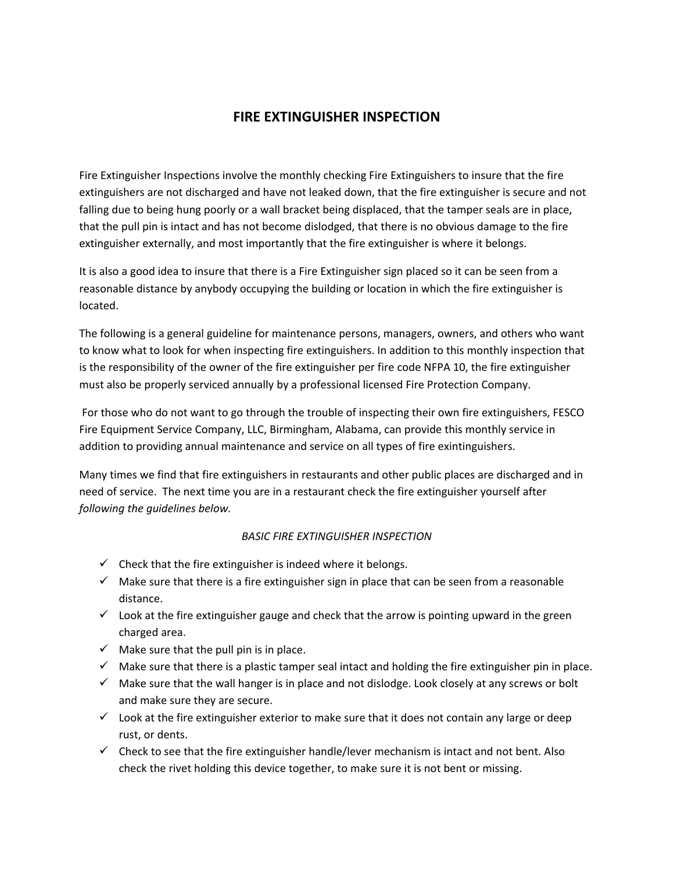## **FIRE EXTINGUISHER INSPECTION**

Fire Extinguisher Inspections involve the monthly checking Fire Extinguishers to insure that the fire extinguishers are not discharged and have not leaked down, that the fire extinguisher is secure and not falling due to being hung poorly or a wall bracket being displaced, that the tamper seals are in place, that the pull pin is intact and has not become dislodged, that there is no obvious damage to the fire extinguisher externally, and most importantly that the fire extinguisher is where it belongs.

It is also a good idea to insure that there is a Fire Extinguisher sign placed so it can be seen from a reasonable distance by anybody occupying the building or location in which the fire extinguisher is located.

The following is a general guideline for maintenance persons, managers, owners, and others who want to know what to look for when inspecting fire extinguishers. In addition to this monthly inspection that is the responsibility of the owner of the fire extinguisher per fire code NFPA 10, the fire extinguisher must also be properly serviced annually by a professional licensed Fire Protection Company.

For those who do not want to go through the trouble of inspecting their own fire extinguishers, FESCO Fire Equipment Service Company, LLC, Birmingham, Alabama, can provide this monthly service in addition to providing annual maintenance and service on all types of fire exintinguishers.

Many times we find that fire extinguishers in restaurants and other public places are discharged and in need of service. The next time you are in a restaurant check the fire extinguisher yourself after *following the guidelines below.*

## *BASIC FIRE EXTINGUISHER INSPECTION*

- $\checkmark$  Check that the fire extinguisher is indeed where it belongs.
- $\checkmark$  Make sure that there is a fire extinguisher sign in place that can be seen from a reasonable distance.
- $\checkmark$  Look at the fire extinguisher gauge and check that the arrow is pointing upward in the green charged area.
- $\checkmark$  Make sure that the pull pin is in place.
- $\checkmark$  Make sure that there is a plastic tamper seal intact and holding the fire extinguisher pin in place.
- $\checkmark$  Make sure that the wall hanger is in place and not dislodge. Look closely at any screws or bolt and make sure they are secure.
- $\checkmark$  Look at the fire extinguisher exterior to make sure that it does not contain any large or deep rust, or dents.
- $\checkmark$  Check to see that the fire extinguisher handle/lever mechanism is intact and not bent. Also check the rivet holding this device together, to make sure it is not bent or missing.